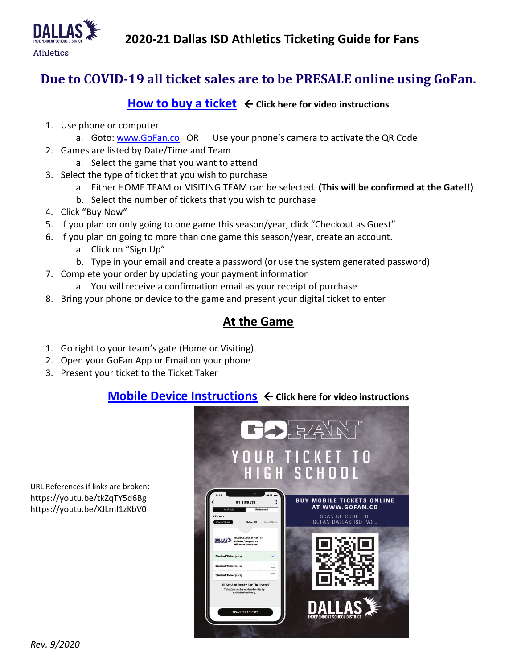**2020-21 Dallas ISD Athletics Ticketing Guide for Fans**



# **Due to COVID-19 all ticket sales are to be PRESALE online using GoFan.**

#### **[How to buy a ticket](https://youtu.be/tkZqTY5d6Bg) ← Click here for video instructions**

- 1. Use phone or computer
	- a. Goto: [www.GoFan.co](http://www.gofan.co/) OR Use your phone's camera to activate the QR Code
- 2. Games are listed by Date/Time and Team
	- a. Select the game that you want to attend
- 3. Select the type of ticket that you wish to purchase
	- a. Either HOME TEAM or VISITING TEAM can be selected. **(This will be confirmed at the Gate!!)**
	- b. Select the number of tickets that you wish to purchase
- 4. Click "Buy Now"
- 5. If you plan on only going to one game this season/year, click "Checkout as Guest"
- 6. If you plan on going to more than one game this season/year, create an account.
	- a. Click on "Sign Up"
	- b. Type in your email and create a password (or use the system generated password)
- 7. Complete your order by updating your payment information
	- a. You will receive a confirmation email as your receipt of purchase
- 8. Bring your phone or device to the game and present your digital ticket to enter

## **At the Game**

- 1. Go right to your team's gate (Home or Visiting)
- 2. Open your GoFan App or Email on your phone
- 3. Present your ticket to the Ticket Taker

### **[Mobile Device Instructions](https://youtu.be/XJLmI1zKbV0) ← Click here for video instructions**



URL References if links are broken: https://youtu.be/tkZqTY5d6Bg https://youtu.be/XJLmI1zKbV0